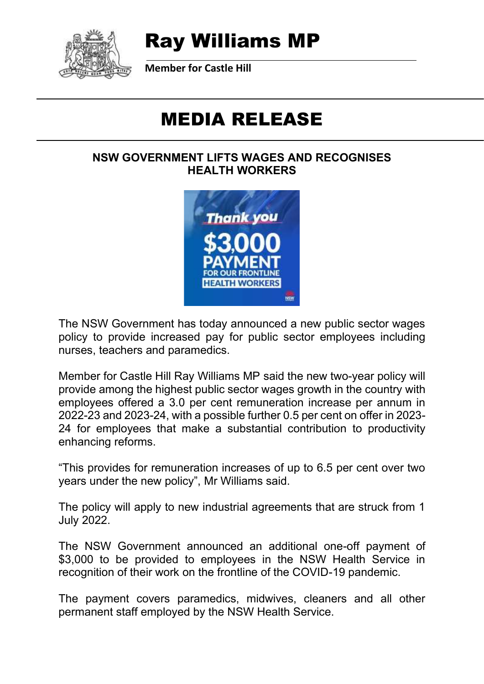

## Ray Williams MP

**Member for Castle Hill**

# MEDIA RELEASE

#### **NSW GOVERNMENT LIFTS WAGES AND RECOGNISES HEALTH WORKERS**



The NSW Government has today announced a new public sector wages policy to provide increased pay for public sector employees including nurses, teachers and paramedics.

Member for Castle Hill Ray Williams MP said the new two-year policy will provide among the highest public sector wages growth in the country with employees offered a 3.0 per cent remuneration increase per annum in 2022-23 and 2023-24, with a possible further 0.5 per cent on offer in 2023- 24 for employees that make a substantial contribution to productivity enhancing reforms.

"This provides for remuneration increases of up to 6.5 per cent over two years under the new policy", Mr Williams said.

The policy will apply to new industrial agreements that are struck from 1 July 2022.

The NSW Government announced an additional one-off payment of \$3,000 to be provided to employees in the NSW Health Service in recognition of their work on the frontline of the COVID-19 pandemic.

The payment covers paramedics, midwives, cleaners and all other permanent staff employed by the NSW Health Service.